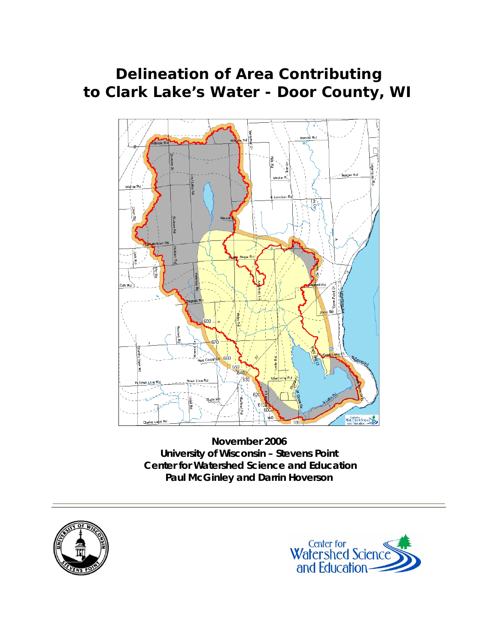# **Delineation of Area Contributing to Clark Lake's Water - Door County, WI**



**November 2006 University of Wisconsin – Stevens Point Center for Watershed Science and Education Paul McGinley and Darrin Hoverson** 



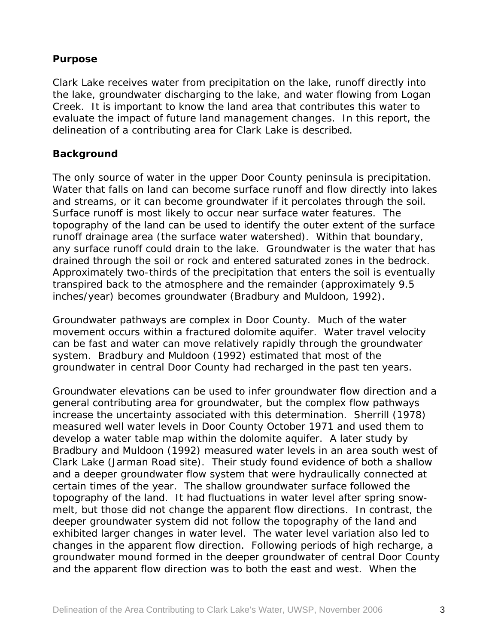### **Purpose**

Clark Lake receives water from precipitation on the lake, runoff directly into the lake, groundwater discharging to the lake, and water flowing from Logan Creek. It is important to know the land area that contributes this water to evaluate the impact of future land management changes. In this report, the delineation of a contributing area for Clark Lake is described.

#### **Background**

The only source of water in the upper Door County peninsula is precipitation. Water that falls on land can become surface runoff and flow directly into lakes and streams, or it can become groundwater if it percolates through the soil. Surface runoff is most likely to occur near surface water features. The topography of the land can be used to identify the outer extent of the surface runoff drainage area (the surface water watershed). Within that boundary, any surface runoff could drain to the lake. Groundwater is the water that has drained through the soil or rock and entered saturated zones in the bedrock. Approximately two-thirds of the precipitation that enters the soil is eventually transpired back to the atmosphere and the remainder (approximately 9.5 inches/year) becomes groundwater (Bradbury and Muldoon, 1992).

Groundwater pathways are complex in Door County. Much of the water movement occurs within a fractured dolomite aquifer. Water travel velocity can be fast and water can move relatively rapidly through the groundwater system. Bradbury and Muldoon (1992) estimated that most of the groundwater in central Door County had recharged in the past ten years.

Groundwater elevations can be used to infer groundwater flow direction and a general contributing area for groundwater, but the complex flow pathways increase the uncertainty associated with this determination. Sherrill (1978) measured well water levels in Door County October 1971 and used them to develop a water table map within the dolomite aquifer. A later study by Bradbury and Muldoon (1992) measured water levels in an area south west of Clark Lake (Jarman Road site). Their study found evidence of both a shallow and a deeper groundwater flow system that were hydraulically connected at certain times of the year. The shallow groundwater surface followed the topography of the land. It had fluctuations in water level after spring snowmelt, but those did not change the apparent flow directions. In contrast, the deeper groundwater system did not follow the topography of the land and exhibited larger changes in water level. The water level variation also led to changes in the apparent flow direction. Following periods of high recharge, a groundwater mound formed in the deeper groundwater of central Door County and the apparent flow direction was to both the east and west. When the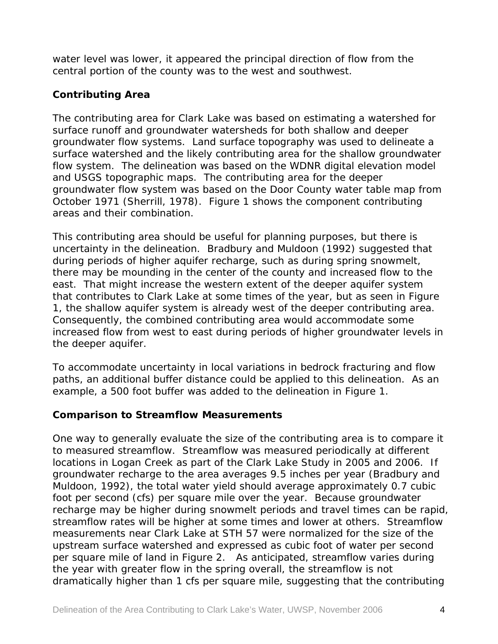water level was lower, it appeared the principal direction of flow from the central portion of the county was to the west and southwest.

### **Contributing Area**

The contributing area for Clark Lake was based on estimating a watershed for surface runoff and groundwater watersheds for both shallow and deeper groundwater flow systems. Land surface topography was used to delineate a surface watershed and the likely contributing area for the shallow groundwater flow system. The delineation was based on the WDNR digital elevation model and USGS topographic maps. The contributing area for the deeper groundwater flow system was based on the Door County water table map from October 1971 (Sherrill, 1978). Figure 1 shows the component contributing areas and their combination.

This contributing area should be useful for planning purposes, but there is uncertainty in the delineation. Bradbury and Muldoon (1992) suggested that during periods of higher aquifer recharge, such as during spring snowmelt, there may be mounding in the center of the county and increased flow to the east. That might increase the western extent of the deeper aquifer system that contributes to Clark Lake at some times of the year, but as seen in Figure 1, the shallow aquifer system is already west of the deeper contributing area. Consequently, the combined contributing area would accommodate some increased flow from west to east during periods of higher groundwater levels in the deeper aquifer.

To accommodate uncertainty in local variations in bedrock fracturing and flow paths, an additional buffer distance could be applied to this delineation. As an example, a 500 foot buffer was added to the delineation in Figure 1.

#### **Comparison to Streamflow Measurements**

One way to generally evaluate the size of the contributing area is to compare it to measured streamflow. Streamflow was measured periodically at different locations in Logan Creek as part of the Clark Lake Study in 2005 and 2006. If groundwater recharge to the area averages 9.5 inches per year (Bradbury and Muldoon, 1992), the total water yield should average approximately 0.7 cubic foot per second (cfs) per square mile over the year. Because groundwater recharge may be higher during snowmelt periods and travel times can be rapid, streamflow rates will be higher at some times and lower at others. Streamflow measurements near Clark Lake at STH 57 were normalized for the size of the upstream surface watershed and expressed as cubic foot of water per second per square mile of land in Figure 2. As anticipated, streamflow varies during the year with greater flow in the spring overall, the streamflow is not dramatically higher than 1 cfs per square mile, suggesting that the contributing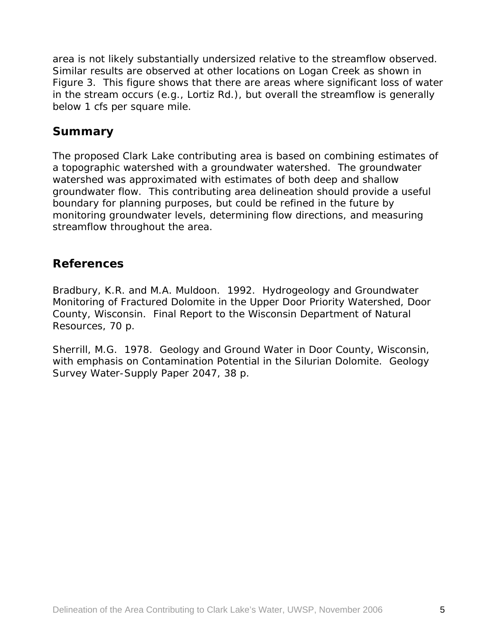area is not likely substantially undersized relative to the streamflow observed. Similar results are observed at other locations on Logan Creek as shown in Figure 3. This figure shows that there are areas where significant loss of water in the stream occurs (e.g., Lortiz Rd.), but overall the streamflow is generally below 1 cfs per square mile.

## **Summary**

The proposed Clark Lake contributing area is based on combining estimates of a topographic watershed with a groundwater watershed. The groundwater watershed was approximated with estimates of both deep and shallow groundwater flow. This contributing area delineation should provide a useful boundary for planning purposes, but could be refined in the future by monitoring groundwater levels, determining flow directions, and measuring streamflow throughout the area.

## **References**

Bradbury, K.R. and M.A. Muldoon. 1992. Hydrogeology and Groundwater Monitoring of Fractured Dolomite in the Upper Door Priority Watershed, Door County, Wisconsin. Final Report to the Wisconsin Department of Natural Resources, 70 p.

Sherrill, M.G. 1978. Geology and Ground Water in Door County, Wisconsin, with emphasis on Contamination Potential in the Silurian Dolomite. Geology Survey Water-Supply Paper 2047, 38 p.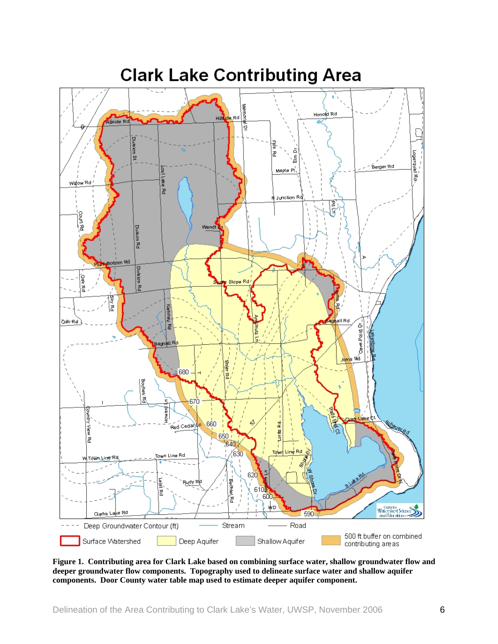

#### **Figure 1. Contributing area for Clark Lake based on combining surface water, shallow groundwater flow and deeper groundwater flow components. Topography used to delineate surface water and shallow aquifer components. Door County water table map used to estimate deeper aquifer component.**